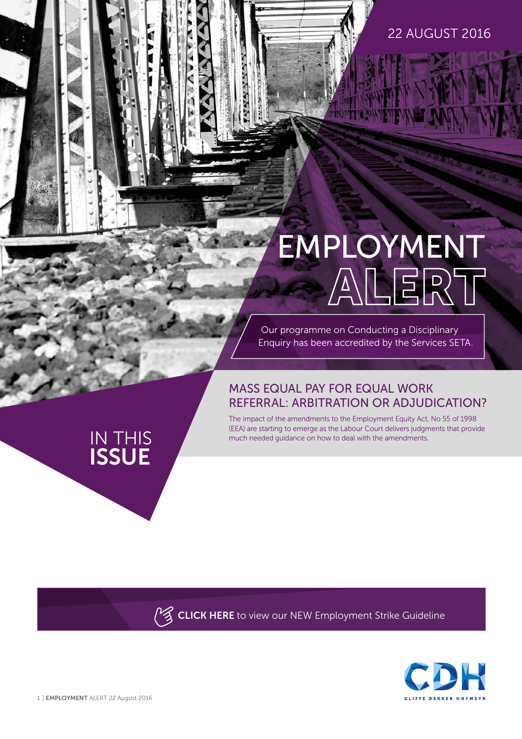# 22 AUGUST 2016

# EMPLOYMENT

Our programme on Conducting a Disciplinary Enquiry has been accredited by the Services SETA.

# MASS EQUAL PAY FOR EQUAL WORK REFERRAL: ARBITRATION OR ADJUDICATION?

The impact of the amendments to the Employment Equity Act, No 55 of 1998 (EEA) are starting to emerge as the Labour Court delivers judgments that provide much needed guidance on how to deal with the amendments.

 $\mathbb{M}$ **[CLICK HERE](http://www.cliffedekkerhofmeyr.com/export/sites/cdh/en/practice-areas/downloads/Employment-Strike-Guideline.pdf)** to view our NEW Employment Strike Guideline



IN THIS

**ISSUE**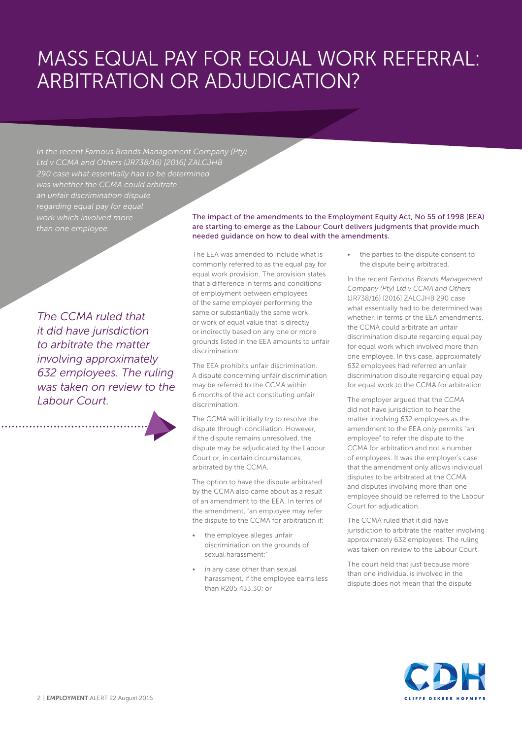# MASS EQUAL PAY FOR EQUAL WORK REFERRAL: ARBITRATION OR ADJUDICATION?

*In the recent Famous Brands Management Company (Pty) Ltd v CCMA and Others (JR738/16) [2016] ZALCJHB was whether the CCMA could arbitrate an unfair discrimination dispute regarding equal pay for equal than one employee.* 

*The CCMA ruled that it did have jurisdiction to arbitrate the matter involving approximately 632 employees. The ruling was taken on review to the Labour Court.* 

The impact of the amendments to the Employment Equity Act, No 55 of 1998 (EEA) are starting to emerge as the Labour Court delivers judgments that provide much needed guidance on how to deal with the amendments.

The EEA was amended to include what is commonly referred to as the equal pay for equal work provision. The provision states that a difference in terms and conditions of employment between employees of the same employer performing the same or substantially the same work or work of equal value that is directly or indirectly based on any one or more grounds listed in the EEA amounts to unfair discrimination.

The EEA prohibits unfair discrimination. A dispute concerning unfair discrimination may be referred to the CCMA within 6 months of the act constituting unfair discrimination.

The CCMA will initially try to resolve the dispute through conciliation. However, if the dispute remains unresolved, the dispute may be adjudicated by the Labour Court or, in certain circumstances, arbitrated by the CCMA.

The option to have the dispute arbitrated by the CCMA also came about as a result of an amendment to the EEA. In terms of the amendment, "an employee may refer the dispute to the CCMA for arbitration if:

- the employee alleges unfair discrimination on the grounds of sexual harassment;"
- in any case other than sexual harassment, if the employee earns less than R205 433.30; or

the parties to the dispute consent to the dispute being arbitrated.

In the recent *Famous Brands Management Company (Pty) Ltd v CCMA and Others* (JR738/16) [2016] ZALCJHB 290 case what essentially had to be determined was whether, in terms of the EEA amendments, the CCMA could arbitrate an unfair discrimination dispute regarding equal pay for equal work which involved more than one employee. In this case, approximately 632 employees had referred an unfair discrimination dispute regarding equal pay for equal work to the CCMA for arbitration.

The employer argued that the CCMA did not have jurisdiction to hear the matter involving 632 employees as the amendment to the EEA only permits "an employee" to refer the dispute to the CCMA for arbitration and not a number of employees. It was the employer's case that the amendment only allows individual disputes to be arbitrated at the CCMA and disputes involving more than one employee should be referred to the Labour Court for adjudication.

The CCMA ruled that it did have jurisdiction to arbitrate the matter involving approximately 632 employees. The ruling was taken on review to the Labour Court.

The court held that just because more than one individual is involved in the dispute does not mean that the dispute

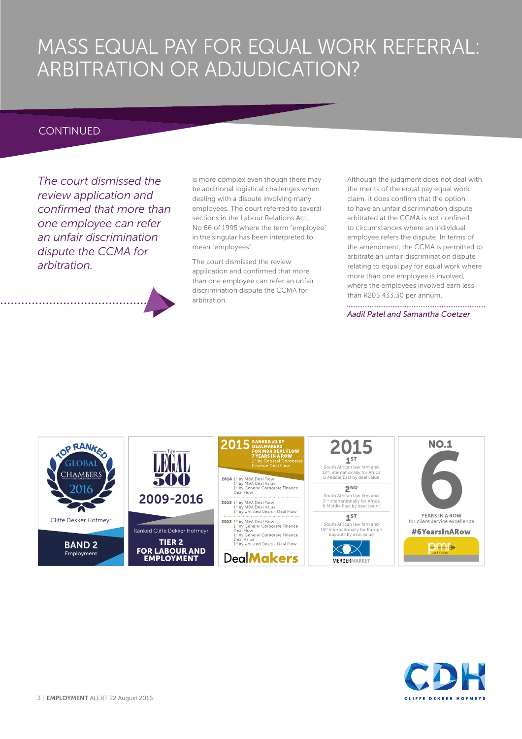# MASS EQUAL PAY FOR EQUAL WORK REFERRAL: ARBITRATION OR ADJUDICATION?

# **CONTINUED**

*The court dismissed the review application and confirmed that more than one employee can refer an unfair discrimination dispute the CCMA for arbitration.* 

is more complex even though there may be additional logistical challenges when dealing with a dispute involving many employees. The court referred to several sections in the Labour Relations Act, No 66 of 1995 where the term "employee" in the singular has been interpreted to mean "employees".

The court dismissed the review application and confirmed that more than one employee can refer an unfair discrimination dispute the CCMA for arbitration.

Although the judgment does not deal with the merits of the equal pay equal work claim, it does confirm that the option to have an unfair discrimination dispute arbitrated at the CCMA is not confined to circumstances where an individual employee refers the dispute. In terms of the amendment, the CCMA is permitted to arbitrate an unfair discrimination dispute relating to equal pay for equal work where more than one employee is involved, where the employees involved earn less than R205 433.30 per annum.

*Aadil Patel and Samantha Coetzer*



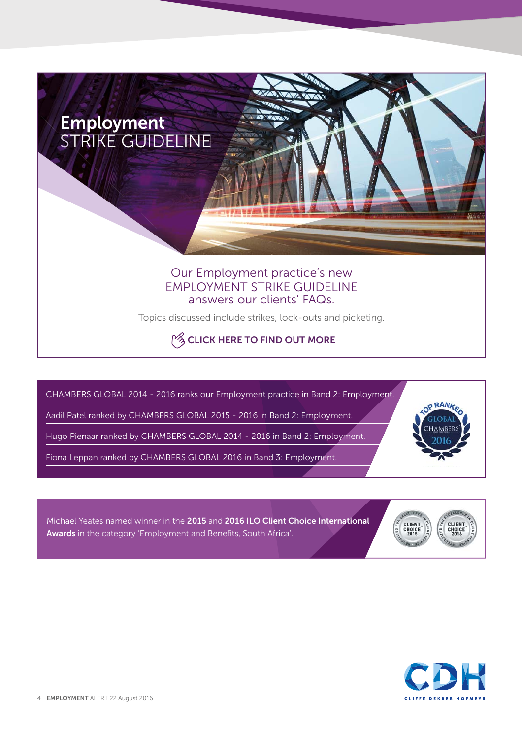

**[CLICK HERE T](http://www.cliffedekkerhofmeyr.com/export/sites/cdh/en/practice-areas/downloads/Employment-Strike-Guideline.pdf)O FIND OUT MORE**

CHAMBERS GLOBAL 2014 - 2016 ranks our Employment practice in Band 2: Employment.

Aadil Patel ranked by CHAMBERS GLOBAL 2015 - 2016 in Band 2: Employment.

Hugo Pienaar ranked by CHAMBERS GLOBAL 2014 - 2016 in Band 2: Employment.

Fiona Leppan ranked by CHAMBERS GLOBAL 2016 in Band 3: Employment.

Michael Yeates named winner in the **2015** and **2016 ILO Client Choice International**  Awards in the category 'Employment and Benefits, South Africa'.